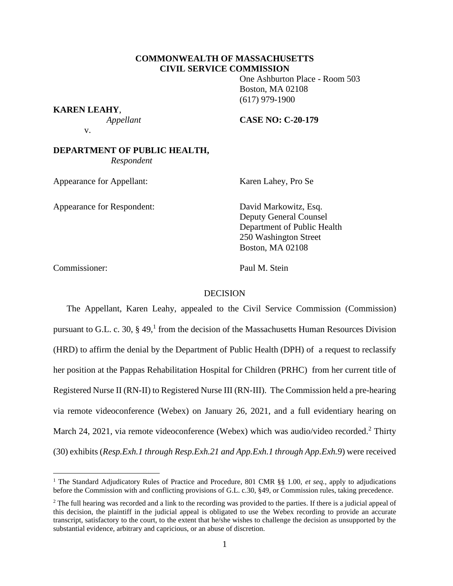## **COMMONWEALTH OF MASSACHUSETTS CIVIL SERVICE COMMISSION**

One Ashburton Place - Room 503 Boston, MA 02108 (617) 979-1900

**KAREN LEAHY**,

 *Appellant* **CASE NO: C-20-179**

v.

## **DEPARTMENT OF PUBLIC HEALTH,**  *Respondent*

Appearance for Appellant: Karen Lahey, Pro Se

Appearance for Respondent: David Markowitz, Esq.

Deputy General Counsel Department of Public Health 250 Washington Street Boston, MA 02108

Commissioner: Paul M. Stein

## DECISION

The Appellant, Karen Leahy, appealed to the Civil Service Commission (Commission) pursuant to G.L. c. 30,  $\S$  49,<sup>1</sup> from the decision of the Massachusetts Human Resources Division (HRD) to affirm the denial by the Department of Public Health (DPH) of a request to reclassify her position at the Pappas Rehabilitation Hospital for Children (PRHC) from her current title of Registered Nurse II (RN-II) to Registered Nurse III (RN-III). The Commission held a pre-hearing via remote videoconference (Webex) on January 26, 2021, and a full evidentiary hearing on March 24, 2021, via remote videoconference (Webex) which was audio/video recorded.<sup>2</sup> Thirty (30) exhibits (*Resp.Exh.1 through Resp.Exh.21 and App.Exh.1 through App.Exh.9*) were received

<sup>1</sup> The Standard Adjudicatory Rules of Practice and Procedure, 801 CMR §§ 1.00, *et seq.*, apply to adjudications before the Commission with and conflicting provisions of G.L. c.30, §49, or Commission rules, taking precedence.

<sup>&</sup>lt;sup>2</sup> The full hearing was recorded and a link to the recording was provided to the parties. If there is a judicial appeal of this decision, the plaintiff in the judicial appeal is obligated to use the Webex recording to provide an accurate transcript, satisfactory to the court, to the extent that he/she wishes to challenge the decision as unsupported by the substantial evidence, arbitrary and capricious, or an abuse of discretion.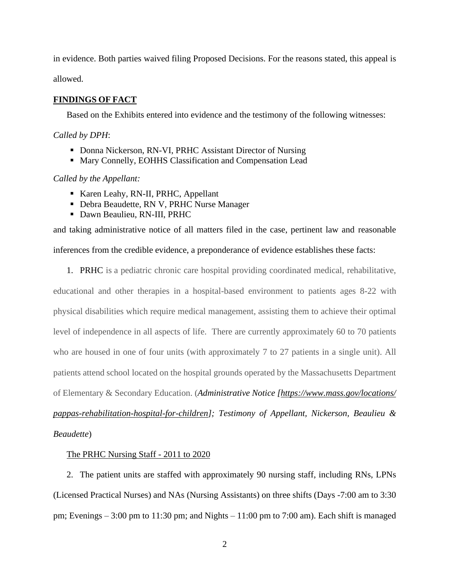in evidence. Both parties waived filing Proposed Decisions. For the reasons stated, this appeal is allowed.

# **FINDINGS OF FACT**

Based on the Exhibits entered into evidence and the testimony of the following witnesses:

### *Called by DPH*:

- Donna Nickerson, RN-VI, PRHC Assistant Director of Nursing
- Mary Connelly, EOHHS Classification and Compensation Lead

# *Called by the Appellant:*

- Karen Leahy, RN-II, PRHC, Appellant
- Debra Beaudette, RN V, PRHC Nurse Manager
- Dawn Beaulieu, RN-III, PRHC

and taking administrative notice of all matters filed in the case, pertinent law and reasonable inferences from the credible evidence, a preponderance of evidence establishes these facts:

1. PRHC is a pediatric chronic care hospital providing coordinated medical, rehabilitative,

educational and other therapies in a hospital-based environment to patients ages 8-22 with physical disabilities which require medical management, assisting them to achieve their optimal level of independence in all aspects of life. There are currently approximately 60 to 70 patients who are housed in one of four units (with approximately 7 to 27 patients in a single unit). All patients attend school located on the hospital grounds operated by the Massachusetts Department of Elementary & Secondary Education. (*Administrative Notice [\[https://www.mass.gov/locations/](https://www.mass.gov/locations/%20pappas-rehabilitation-hospital-for-children)  [pappas-rehabilitation-hospital-for-children\]](https://www.mass.gov/locations/%20pappas-rehabilitation-hospital-for-children); Testimony of Appellant, Nickerson, Beaulieu & Beaudette*)

# The PRHC Nursing Staff - 2011 to 2020

2. The patient units are staffed with approximately 90 nursing staff, including RNs, LPNs (Licensed Practical Nurses) and NAs (Nursing Assistants) on three shifts (Days -7:00 am to 3:30 pm; Evenings – 3:00 pm to 11:30 pm; and Nights – 11:00 pm to 7:00 am). Each shift is managed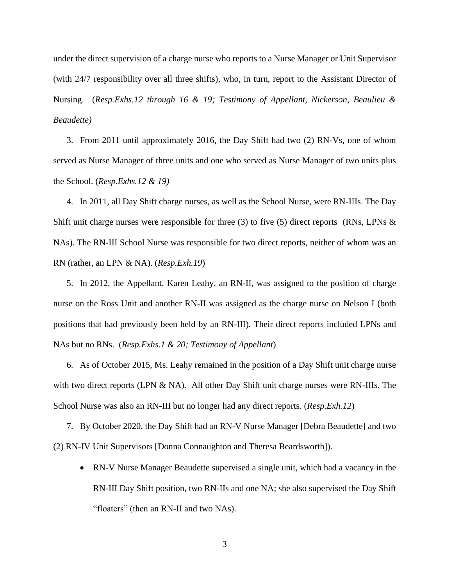under the direct supervision of a charge nurse who reports to a Nurse Manager or Unit Supervisor (with 24/7 responsibility over all three shifts), who, in turn, report to the Assistant Director of Nursing. (*Resp.Exhs.12 through 16 & 19; Testimony of Appellant, Nickerson, Beaulieu & Beaudette)*

3. From 2011 until approximately 2016, the Day Shift had two (2) RN-Vs, one of whom served as Nurse Manager of three units and one who served as Nurse Manager of two units plus the School. (*Resp.Exhs.12 & 19)*

4. In 2011, all Day Shift charge nurses, as well as the School Nurse, were RN-IIIs. The Day Shift unit charge nurses were responsible for three (3) to five (5) direct reports (RNs, LPNs  $\&$ NAs). The RN-III School Nurse was responsible for two direct reports, neither of whom was an RN (rather, an LPN & NA). (*Resp.Exh.19*)

5. In 2012, the Appellant, Karen Leahy, an RN-II, was assigned to the position of charge nurse on the Ross Unit and another RN-II was assigned as the charge nurse on Nelson I (both positions that had previously been held by an RN-III). Their direct reports included LPNs and NAs but no RNs. (*Resp.Exhs.1 & 20; Testimony of Appellant*)

6. As of October 2015, Ms. Leahy remained in the position of a Day Shift unit charge nurse with two direct reports (LPN & NA). All other Day Shift unit charge nurses were RN-IIIs. The School Nurse was also an RN-III but no longer had any direct reports. (*Resp.Exh.12*)

7. By October 2020, the Day Shift had an RN-V Nurse Manager [Debra Beaudette] and two (2) RN-IV Unit Supervisors [Donna Connaughton and Theresa Beardsworth]).

• RN-V Nurse Manager Beaudette supervised a single unit, which had a vacancy in the RN-III Day Shift position, two RN-IIs and one NA; she also supervised the Day Shift "floaters" (then an RN-II and two NAs).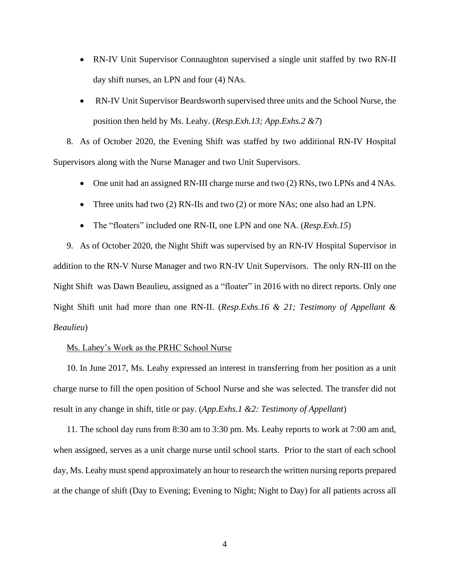- RN-IV Unit Supervisor Connaughton supervised a single unit staffed by two RN-II day shift nurses, an LPN and four (4) NAs.
- RN-IV Unit Supervisor Beardsworth supervised three units and the School Nurse, the position then held by Ms. Leahy. (*Resp.Exh.13; App.Exhs.2 &7*)

8. As of October 2020, the Evening Shift was staffed by two additional RN-IV Hospital Supervisors along with the Nurse Manager and two Unit Supervisors.

- One unit had an assigned RN-III charge nurse and two (2) RNs, two LPNs and 4 NAs.
- Three units had two (2) RN-IIs and two (2) or more NAs; one also had an LPN.
- The "floaters" included one RN-II, one LPN and one NA. *(Resp. Exh. 15)*

9. As of October 2020, the Night Shift was supervised by an RN-IV Hospital Supervisor in addition to the RN-V Nurse Manager and two RN-IV Unit Supervisors. The only RN-III on the Night Shift was Dawn Beaulieu, assigned as a "floater" in 2016 with no direct reports. Only one Night Shift unit had more than one RN-II. (*Resp.Exhs.16 & 21; Testimony of Appellant & Beaulieu*)

### Ms. Lahey's Work as the PRHC School Nurse

10. In June 2017, Ms. Leahy expressed an interest in transferring from her position as a unit charge nurse to fill the open position of School Nurse and she was selected. The transfer did not result in any change in shift, title or pay. (*App.Exhs.1 &2: Testimony of Appellant*)

11. The school day runs from 8:30 am to 3:30 pm. Ms. Leahy reports to work at 7:00 am and, when assigned, serves as a unit charge nurse until school starts. Prior to the start of each school day, Ms. Leahy must spend approximately an hour to research the written nursing reports prepared at the change of shift (Day to Evening; Evening to Night; Night to Day) for all patients across all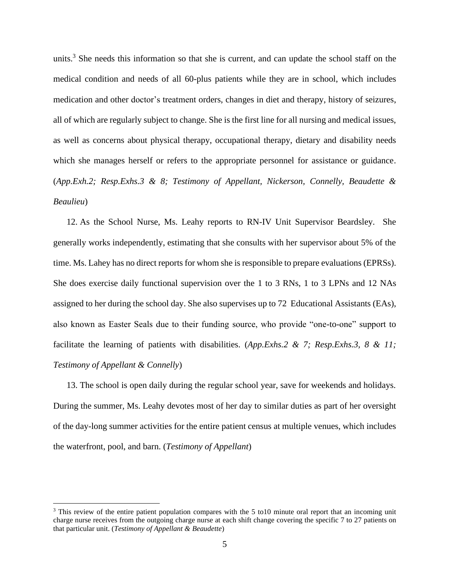units.<sup>3</sup> She needs this information so that she is current, and can update the school staff on the medical condition and needs of all 60-plus patients while they are in school, which includes medication and other doctor's treatment orders, changes in diet and therapy, history of seizures, all of which are regularly subject to change. She is the first line for all nursing and medical issues, as well as concerns about physical therapy, occupational therapy, dietary and disability needs which she manages herself or refers to the appropriate personnel for assistance or guidance. (*App.Exh.2; Resp.Exhs.3 & 8; Testimony of Appellant, Nickerson, Connelly, Beaudette & Beaulieu*)

12. As the School Nurse, Ms. Leahy reports to RN-IV Unit Supervisor Beardsley. She generally works independently, estimating that she consults with her supervisor about 5% of the time. Ms. Lahey has no direct reports for whom she is responsible to prepare evaluations (EPRSs). She does exercise daily functional supervision over the 1 to 3 RNs, 1 to 3 LPNs and 12 NAs assigned to her during the school day. She also supervises up to 72 Educational Assistants (EAs), also known as Easter Seals due to their funding source, who provide "one-to-one" support to facilitate the learning of patients with disabilities. (*App.Exhs.2 & 7; Resp.Exhs.3, 8 & 11; Testimony of Appellant & Connelly*)

13. The school is open daily during the regular school year, save for weekends and holidays. During the summer, Ms. Leahy devotes most of her day to similar duties as part of her oversight of the day-long summer activities for the entire patient census at multiple venues, which includes the waterfront, pool, and barn. (*Testimony of Appellant*)

<sup>&</sup>lt;sup>3</sup> This review of the entire patient population compares with the 5 to10 minute oral report that an incoming unit charge nurse receives from the outgoing charge nurse at each shift change covering the specific 7 to 27 patients on that particular unit. (*Testimony of Appellant & Beaudette*)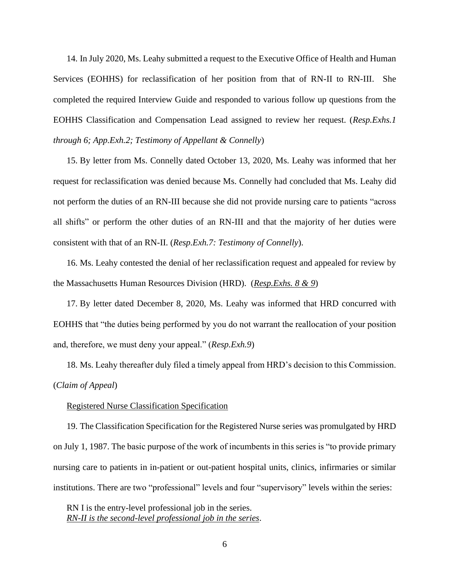14. In July 2020, Ms. Leahy submitted a request to the Executive Office of Health and Human Services (EOHHS) for reclassification of her position from that of RN-II to RN-III. She completed the required Interview Guide and responded to various follow up questions from the EOHHS Classification and Compensation Lead assigned to review her request. (*Resp.Exhs.1 through 6; App.Exh.2; Testimony of Appellant & Connelly*)

15. By letter from Ms. Connelly dated October 13, 2020, Ms. Leahy was informed that her request for reclassification was denied because Ms. Connelly had concluded that Ms. Leahy did not perform the duties of an RN-III because she did not provide nursing care to patients "across all shifts" or perform the other duties of an RN-III and that the majority of her duties were consistent with that of an RN-II. (*Resp.Exh.7: Testimony of Connelly*).

16. Ms. Leahy contested the denial of her reclassification request and appealed for review by the Massachusetts Human Resources Division (HRD). (*Resp.Exhs. 8 & 9*)

17. By letter dated December 8, 2020, Ms. Leahy was informed that HRD concurred with EOHHS that "the duties being performed by you do not warrant the reallocation of your position and, therefore, we must deny your appeal." (*Resp.Exh.9*)

18. Ms. Leahy thereafter duly filed a timely appeal from HRD's decision to this Commission. (*Claim of Appeal*)

#### Registered Nurse Classification Specification

19. The Classification Specification for the Registered Nurse series was promulgated by HRD on July 1, 1987. The basic purpose of the work of incumbents in this series is "to provide primary nursing care to patients in in-patient or out-patient hospital units, clinics, infirmaries or similar institutions. There are two "professional" levels and four "supervisory" levels within the series:

RN I is the entry-level professional job in the series. *RN-II is the second-level professional job in the series*.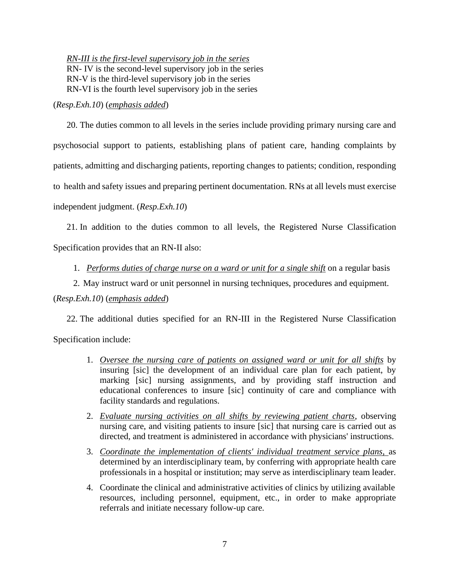*RN-III is the first-level supervisory job in the series* RN- IV is the second-level supervisory job in the series RN-V is the third-level supervisory job in the series RN-VI is the fourth level supervisory job in the series

(*Resp.Exh.10*) (*emphasis added*)

20. The duties common to all levels in the series include providing primary nursing care and psychosocial support to patients, establishing plans of patient care, handing complaints by patients, admitting and discharging patients, reporting changes to patients; condition, responding to health and safety issues and preparing pertinent documentation. RNs at all levels must exercise independent judgment. (*Resp.Exh.10*)

21. In addition to the duties common to all levels, the Registered Nurse Classification Specification provides that an RN-II also:

1. *Performs duties of charge nurse on a ward or unit for a single shift* on a regular basis

2. May instruct ward or unit personnel in nursing techniques, procedures and equipment. (*Resp.Exh.10*) (*emphasis added*)

22. The additional duties specified for an RN-III in the Registered Nurse Classification Specification include:

- 1. *Oversee the nursing care of patients on assigned ward or unit for all shifts* by insuring [sic] the development of an individual care plan for each patient, by marking [sic] nursing assignments, and by providing staff instruction and educational conferences to insure [sic] continuity of care and compliance with facility standards and regulations.
- 2. *Evaluate nursing activities on all shifts by reviewing patient charts*, observing nursing care, and visiting patients to insure [sic] that nursing care is carried out as directed, and treatment is administered in accordance with physicians' instructions.
- 3. *Coordinate the implementation of clients' individual treatment service plans,* as determined by an interdisciplinary team, by conferring with appropriate health care professionals in a hospital or institution; may serve as interdisciplinary team leader.
- 4. Coordinate the clinical and administrative activities of clinics by utilizing available resources, including personnel, equipment, etc., in order to make appropriate referrals and initiate necessary follow-up care.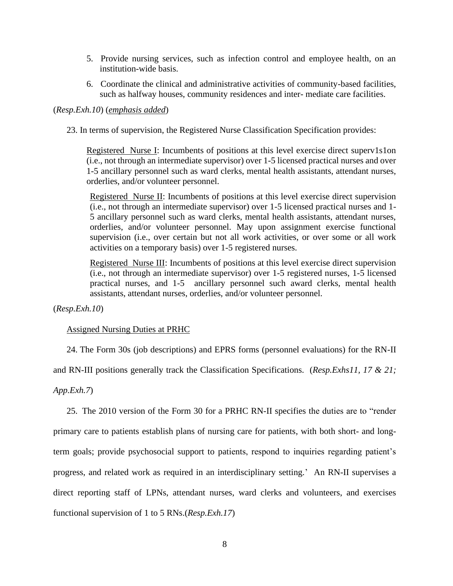- 5. Provide nursing services, such as infection control and employee health, on an institution-wide basis.
- 6. Coordinate the clinical and administrative activities of community-based facilities, such as halfway houses, community residences and inter- mediate care facilities.

### (*Resp.Exh.10*) (*emphasis added*)

23. In terms of supervision, the Registered Nurse Classification Specification provides:

Registered Nurse I: Incumbents of positions at this level exercise direct superv1s1on (i.e., not through an intermediate supervisor) over 1-5 licensed practical nurses and over 1-5 ancillary personnel such as ward clerks, mental health assistants, attendant nurses, orderlies, and/or volunteer personnel.

Registered Nurse II: Incumbents of positions at this level exercise direct supervision (i.e., not through an intermediate supervisor) over 1-5 licensed practical nurses and 1- 5 ancillary personnel such as ward clerks, mental health assistants, attendant nurses, orderlies, and/or volunteer personnel. May upon assignment exercise functional supervision (i.e., over certain but not all work activities, or over some or all work activities on a temporary basis) over 1-5 registered nurses.

Registered Nurse III: Incumbents of positions at this level exercise direct supervision (i.e., not through an intermediate supervisor) over 1-5 registered nurses, 1-5 licensed practical nurses, and 1-5 ancillary personnel such award clerks, mental health assistants, attendant nurses, orderlies, and/or volunteer personnel.

(*Resp.Exh.10*)

### Assigned Nursing Duties at PRHC

24. The Form 30s (job descriptions) and EPRS forms (personnel evaluations) for the RN-II

and RN-III positions generally track the Classification Specifications. (*Resp.Exhs11, 17 & 21;* 

*App.Exh.7*)

25. The 2010 version of the Form 30 for a PRHC RN-II specifies the duties are to "render primary care to patients establish plans of nursing care for patients, with both short- and longterm goals; provide psychosocial support to patients, respond to inquiries regarding patient's progress, and related work as required in an interdisciplinary setting.' An RN-II supervises a direct reporting staff of LPNs, attendant nurses, ward clerks and volunteers, and exercises functional supervision of 1 to 5 RNs.(*Resp.Exh.17*)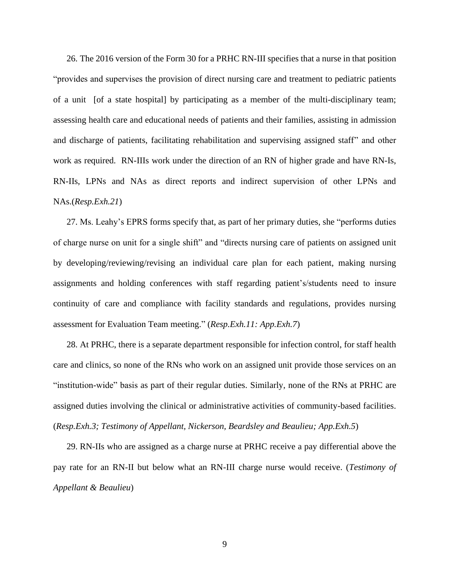26. The 2016 version of the Form 30 for a PRHC RN-III specifies that a nurse in that position "provides and supervises the provision of direct nursing care and treatment to pediatric patients of a unit [of a state hospital] by participating as a member of the multi-disciplinary team; assessing health care and educational needs of patients and their families, assisting in admission and discharge of patients, facilitating rehabilitation and supervising assigned staff" and other work as required. RN-IIIs work under the direction of an RN of higher grade and have RN-Is, RN-IIs, LPNs and NAs as direct reports and indirect supervision of other LPNs and NAs.(*Resp.Exh.21*)

27. Ms. Leahy's EPRS forms specify that, as part of her primary duties, she "performs duties of charge nurse on unit for a single shift" and "directs nursing care of patients on assigned unit by developing/reviewing/revising an individual care plan for each patient, making nursing assignments and holding conferences with staff regarding patient's/students need to insure continuity of care and compliance with facility standards and regulations, provides nursing assessment for Evaluation Team meeting." (*Resp.Exh.11: App.Exh.7*)

28. At PRHC, there is a separate department responsible for infection control, for staff health care and clinics, so none of the RNs who work on an assigned unit provide those services on an "institution-wide" basis as part of their regular duties. Similarly, none of the RNs at PRHC are assigned duties involving the clinical or administrative activities of community-based facilities. (*Resp.Exh.3; Testimony of Appellant, Nickerson, Beardsley and Beaulieu; App.Exh.5*)

29. RN-IIs who are assigned as a charge nurse at PRHC receive a pay differential above the pay rate for an RN-II but below what an RN-III charge nurse would receive. (*Testimony of Appellant & Beaulieu*)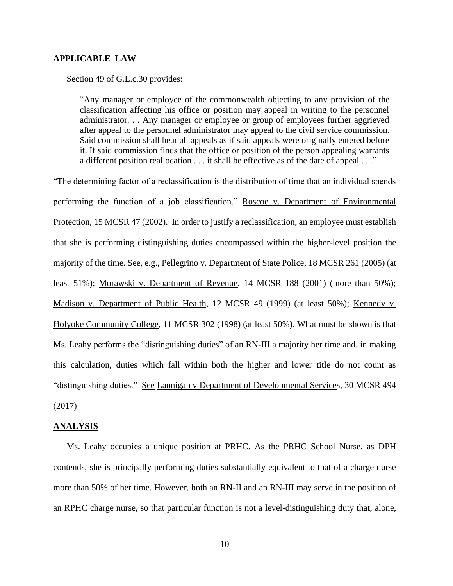#### **APPLICABLE LAW**

Section 49 of G.L.c.30 provides:

"Any manager or employee of the commonwealth objecting to any provision of the classification affecting his office or position may appeal in writing to the personnel administrator. . . Any manager or employee or group of employees further aggrieved after appeal to the personnel administrator may appeal to the civil service commission. Said commission shall hear all appeals as if said appeals were originally entered before it. If said commission finds that the office or position of the person appealing warrants a different position reallocation . . . it shall be effective as of the date of appeal . . ."

"The determining factor of a reclassification is the distribution of time that an individual spends performing the function of a job classification." Roscoe v. Department of Environmental Protection, 15 MCSR 47 (2002). In order to justify a reclassification, an employee must establish that she is performing distinguishing duties encompassed within the higher-level position the majority of the time. See, e.g., Pellegrino v. Department of State Police, 18 MCSR 261 (2005) (at least 51%); Morawski v. Department of Revenue, 14 MCSR 188 (2001) (more than 50%); Madison v. Department of Public Health, 12 MCSR 49 (1999) (at least 50%); Kennedy v. Holyoke Community College, 11 MCSR 302 (1998) (at least 50%). What must be shown is that Ms. Leahy performs the "distinguishing duties" of an RN-III a majority her time and, in making this calculation, duties which fall within both the higher and lower title do not count as "distinguishing duties." See Lannigan v Department of Developmental Services, 30 MCSR 494 (2017)

### **ANALYSIS**

Ms. Leahy occupies a unique position at PRHC. As the PRHC School Nurse, as DPH contends, she is principally performing duties substantially equivalent to that of a charge nurse more than 50% of her time. However, both an RN-II and an RN-III may serve in the position of an RPHC charge nurse, so that particular function is not a level-distinguishing duty that, alone,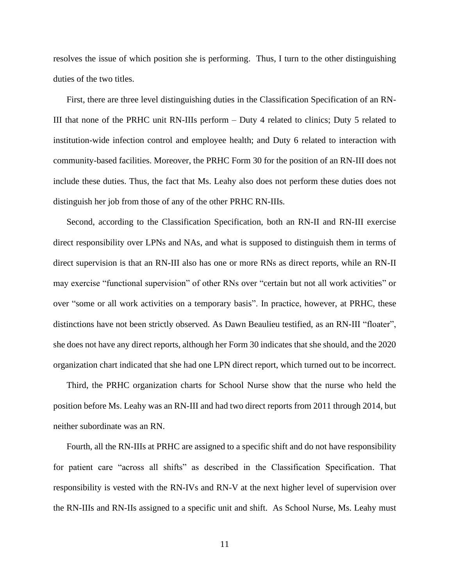resolves the issue of which position she is performing. Thus, I turn to the other distinguishing duties of the two titles.

First, there are three level distinguishing duties in the Classification Specification of an RN-III that none of the PRHC unit RN-IIIs perform – Duty 4 related to clinics; Duty 5 related to institution-wide infection control and employee health; and Duty 6 related to interaction with community-based facilities. Moreover, the PRHC Form 30 for the position of an RN-III does not include these duties. Thus, the fact that Ms. Leahy also does not perform these duties does not distinguish her job from those of any of the other PRHC RN-IIIs.

Second, according to the Classification Specification, both an RN-II and RN-III exercise direct responsibility over LPNs and NAs, and what is supposed to distinguish them in terms of direct supervision is that an RN-III also has one or more RNs as direct reports, while an RN-II may exercise "functional supervision" of other RNs over "certain but not all work activities" or over "some or all work activities on a temporary basis". In practice, however, at PRHC, these distinctions have not been strictly observed. As Dawn Beaulieu testified, as an RN-III "floater", she does not have any direct reports, although her Form 30 indicates that she should, and the 2020 organization chart indicated that she had one LPN direct report, which turned out to be incorrect.

Third, the PRHC organization charts for School Nurse show that the nurse who held the position before Ms. Leahy was an RN-III and had two direct reports from 2011 through 2014, but neither subordinate was an RN.

Fourth, all the RN-IIIs at PRHC are assigned to a specific shift and do not have responsibility for patient care "across all shifts" as described in the Classification Specification. That responsibility is vested with the RN-IVs and RN-V at the next higher level of supervision over the RN-IIIs and RN-IIs assigned to a specific unit and shift. As School Nurse, Ms. Leahy must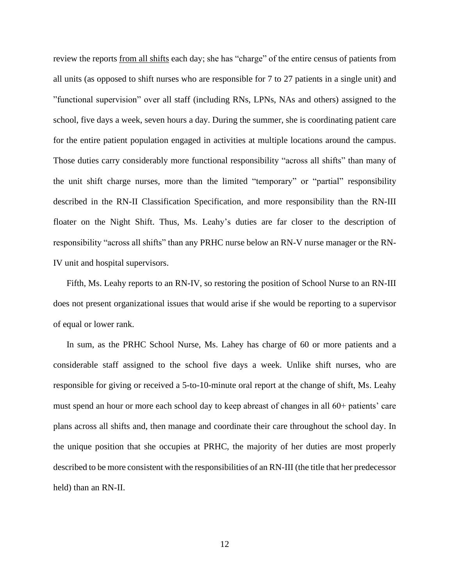review the reports <u>from all shifts</u> each day; she has "charge" of the entire census of patients from all units (as opposed to shift nurses who are responsible for 7 to 27 patients in a single unit) and "functional supervision" over all staff (including RNs, LPNs, NAs and others) assigned to the school, five days a week, seven hours a day. During the summer, she is coordinating patient care for the entire patient population engaged in activities at multiple locations around the campus. Those duties carry considerably more functional responsibility "across all shifts" than many of the unit shift charge nurses, more than the limited "temporary" or "partial" responsibility described in the RN-II Classification Specification, and more responsibility than the RN-III floater on the Night Shift. Thus, Ms. Leahy's duties are far closer to the description of responsibility "across all shifts" than any PRHC nurse below an RN-V nurse manager or the RN-IV unit and hospital supervisors.

Fifth, Ms. Leahy reports to an RN-IV, so restoring the position of School Nurse to an RN-III does not present organizational issues that would arise if she would be reporting to a supervisor of equal or lower rank.

In sum, as the PRHC School Nurse, Ms. Lahey has charge of 60 or more patients and a considerable staff assigned to the school five days a week. Unlike shift nurses, who are responsible for giving or received a 5-to-10-minute oral report at the change of shift, Ms. Leahy must spend an hour or more each school day to keep abreast of changes in all 60+ patients' care plans across all shifts and, then manage and coordinate their care throughout the school day. In the unique position that she occupies at PRHC, the majority of her duties are most properly described to be more consistent with the responsibilities of an RN-III (the title that her predecessor held) than an RN-II.